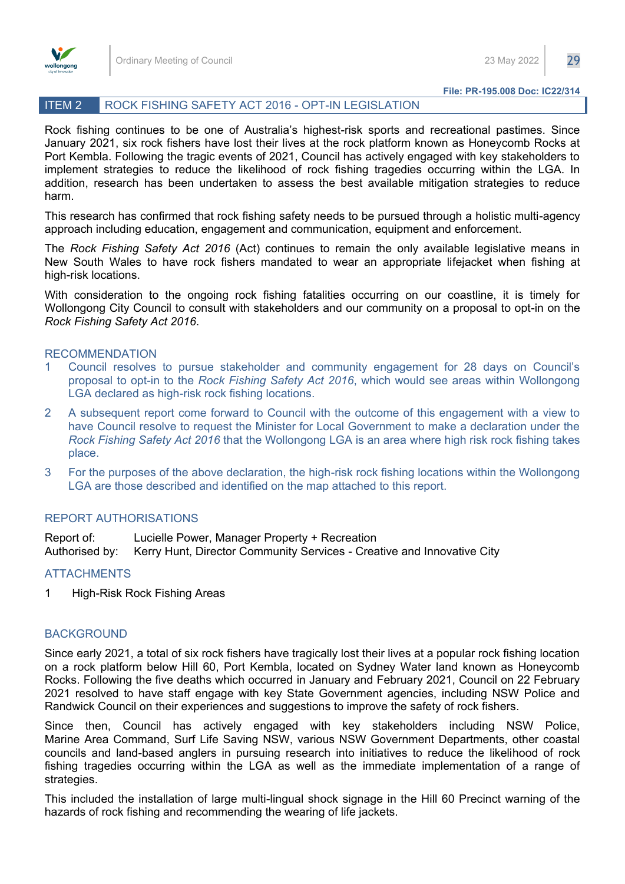

## ITEM 2 ROCK FISHING SAFETY ACT 2016 - OPT-IN LEGISLATION

Rock fishing continues to be one of Australia's highest-risk sports and recreational pastimes. Since January 2021, six rock fishers have lost their lives at the rock platform known as Honeycomb Rocks at Port Kembla. Following the tragic events of 2021, Council has actively engaged with key stakeholders to implement strategies to reduce the likelihood of rock fishing tragedies occurring within the LGA. In addition, research has been undertaken to assess the best available mitigation strategies to reduce harm.

This research has confirmed that rock fishing safety needs to be pursued through a holistic multi-agency approach including education, engagement and communication, equipment and enforcement.

The *Rock Fishing Safety Act 2016* (Act) continues to remain the only available legislative means in New South Wales to have rock fishers mandated to wear an appropriate lifejacket when fishing at high-risk locations.

With consideration to the ongoing rock fishing fatalities occurring on our coastline, it is timely for Wollongong City Council to consult with stakeholders and our community on a proposal to opt-in on the *Rock Fishing Safety Act 2016*.

## RECOMMENDATION

- 1 Council resolves to pursue stakeholder and community engagement for 28 days on Council's proposal to opt-in to the *Rock Fishing Safety Act 2016*, which would see areas within Wollongong LGA declared as high-risk rock fishing locations.
- 2 A subsequent report come forward to Council with the outcome of this engagement with a view to have Council resolve to request the Minister for Local Government to make a declaration under the *Rock Fishing Safety Act 2016* that the Wollongong LGA is an area where high risk rock fishing takes place.
- 3 For the purposes of the above declaration, the high-risk rock fishing locations within the Wollongong LGA are those described and identified on the map attached to this report.

## REPORT AUTHORISATIONS

Report of: Lucielle Power, Manager Property + Recreation Authorised by: Kerry Hunt, Director Community Services - Creative and Innovative City

## ATTACHMENTS

1 High-Risk Rock Fishing Areas

## BACKGROUND

Since early 2021, a total of six rock fishers have tragically lost their lives at a popular rock fishing location on a rock platform below Hill 60, Port Kembla, located on Sydney Water land known as Honeycomb Rocks. Following the five deaths which occurred in January and February 2021, Council on 22 February 2021 resolved to have staff engage with key State Government agencies, including NSW Police and Randwick Council on their experiences and suggestions to improve the safety of rock fishers.

Since then, Council has actively engaged with key stakeholders including NSW Police, Marine Area Command, Surf Life Saving NSW, various NSW Government Departments, other coastal councils and land-based anglers in pursuing research into initiatives to reduce the likelihood of rock fishing tragedies occurring within the LGA as well as the immediate implementation of a range of strategies.

This included the installation of large multi-lingual shock signage in the Hill 60 Precinct warning of the hazards of rock fishing and recommending the wearing of life jackets.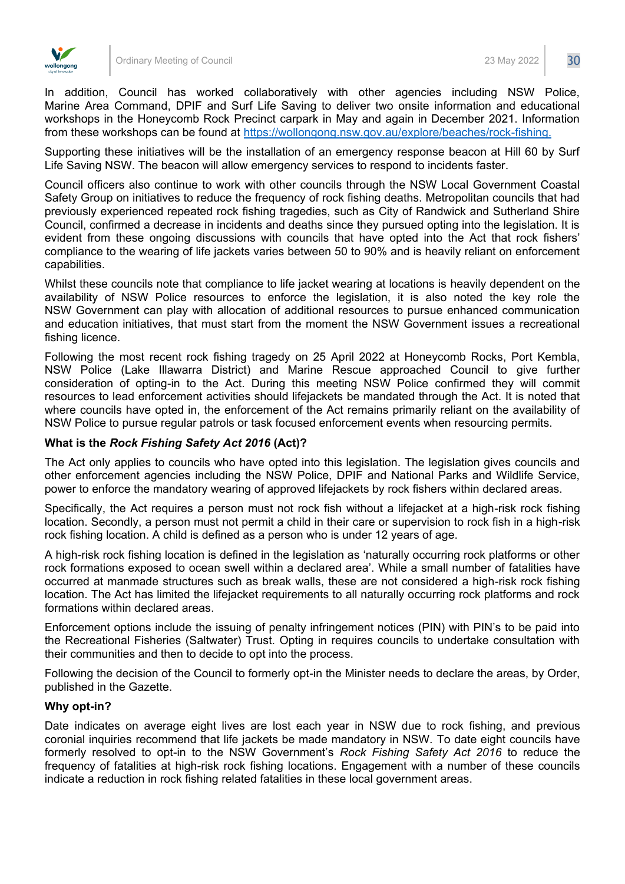

In addition, Council has worked collaboratively with other agencies including NSW Police, Marine Area Command, DPIF and Surf Life Saving to deliver two onsite information and educational workshops in the Honeycomb Rock Precinct carpark in May and again in December 2021. Information from these workshops can be found at [https://wollongong.nsw.gov.au/explore/beaches/rock-fishing.](https://wollongong.nsw.gov.au/explore/beaches/rock-fishing)

Supporting these initiatives will be the installation of an emergency response beacon at Hill 60 by Surf Life Saving NSW. The beacon will allow emergency services to respond to incidents faster.

Council officers also continue to work with other councils through the NSW Local Government Coastal Safety Group on initiatives to reduce the frequency of rock fishing deaths. Metropolitan councils that had previously experienced repeated rock fishing tragedies, such as City of Randwick and Sutherland Shire Council, confirmed a decrease in incidents and deaths since they pursued opting into the legislation. It is evident from these ongoing discussions with councils that have opted into the Act that rock fishers' compliance to the wearing of life jackets varies between 50 to 90% and is heavily reliant on enforcement capabilities.

Whilst these councils note that compliance to life jacket wearing at locations is heavily dependent on the availability of NSW Police resources to enforce the legislation, it is also noted the key role the NSW Government can play with allocation of additional resources to pursue enhanced communication and education initiatives, that must start from the moment the NSW Government issues a recreational fishing licence.

Following the most recent rock fishing tragedy on 25 April 2022 at Honeycomb Rocks, Port Kembla, NSW Police (Lake Illawarra District) and Marine Rescue approached Council to give further consideration of opting-in to the Act. During this meeting NSW Police confirmed they will commit resources to lead enforcement activities should lifejackets be mandated through the Act. It is noted that where councils have opted in, the enforcement of the Act remains primarily reliant on the availability of NSW Police to pursue regular patrols or task focused enforcement events when resourcing permits.

## **What is the** *Rock Fishing Safety Act 2016* **(Act)?**

The Act only applies to councils who have opted into this legislation. The legislation gives councils and other enforcement agencies including the NSW Police, DPIF and National Parks and Wildlife Service, power to enforce the mandatory wearing of approved lifejackets by rock fishers within declared areas.

Specifically, the Act requires a person must not rock fish without a lifejacket at a high-risk rock fishing location. Secondly, a person must not permit a child in their care or supervision to rock fish in a high-risk rock fishing location. A child is defined as a person who is under 12 years of age.

A high-risk rock fishing location is defined in the legislation as 'naturally occurring rock platforms or other rock formations exposed to ocean swell within a declared area'. While a small number of fatalities have occurred at manmade structures such as break walls, these are not considered a high-risk rock fishing location. The Act has limited the lifejacket requirements to all naturally occurring rock platforms and rock formations within declared areas.

Enforcement options include the issuing of penalty infringement notices (PIN) with PIN's to be paid into the Recreational Fisheries (Saltwater) Trust. Opting in requires councils to undertake consultation with their communities and then to decide to opt into the process.

Following the decision of the Council to formerly opt-in the Minister needs to declare the areas, by Order, published in the Gazette.

## **Why opt-in?**

Date indicates on average eight lives are lost each year in NSW due to rock fishing, and previous coronial inquiries recommend that life jackets be made mandatory in NSW. To date eight councils have formerly resolved to opt-in to the NSW Government's *Rock Fishing Safety Act 2016* to reduce the frequency of fatalities at high-risk rock fishing locations. Engagement with a number of these councils indicate a reduction in rock fishing related fatalities in these local government areas.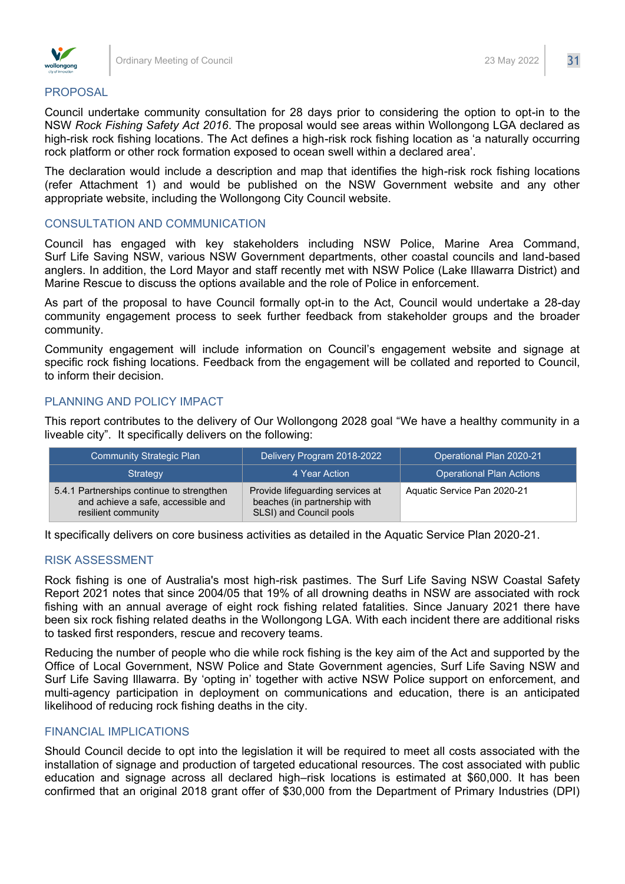

#### PROPOSAL

Council undertake community consultation for 28 days prior to considering the option to opt-in to the NSW *Rock Fishing Safety Act 2016*. The proposal would see areas within Wollongong LGA declared as high-risk rock fishing locations. The Act defines a high-risk rock fishing location as 'a naturally occurring rock platform or other rock formation exposed to ocean swell within a declared area'.

The declaration would include a description and map that identifies the high-risk rock fishing locations (refer Attachment 1) and would be published on the NSW Government website and any other appropriate website, including the Wollongong City Council website.

## CONSULTATION AND COMMUNICATION

Council has engaged with key stakeholders including NSW Police, Marine Area Command, Surf Life Saving NSW, various NSW Government departments, other coastal councils and land-based anglers. In addition, the Lord Mayor and staff recently met with NSW Police (Lake Illawarra District) and Marine Rescue to discuss the options available and the role of Police in enforcement.

As part of the proposal to have Council formally opt-in to the Act, Council would undertake a 28-day community engagement process to seek further feedback from stakeholder groups and the broader community.

Community engagement will include information on Council's engagement website and signage at specific rock fishing locations. Feedback from the engagement will be collated and reported to Council, to inform their decision.

## PLANNING AND POLICY IMPACT

This report contributes to the delivery of Our Wollongong 2028 goal "We have a healthy community in a liveable city". It specifically delivers on the following:

| <b>Community Strategic Plan</b>                                                                        | Delivery Program 2018-2022                                                                  | Operational Plan 2020-21        |
|--------------------------------------------------------------------------------------------------------|---------------------------------------------------------------------------------------------|---------------------------------|
| Strategy                                                                                               | 4 Year Action                                                                               | <b>Operational Plan Actions</b> |
| 5.4.1 Partnerships continue to strengthen<br>and achieve a safe, accessible and<br>resilient community | Provide lifeguarding services at<br>beaches (in partnership with<br>SLSI) and Council pools | Aquatic Service Pan 2020-21     |

It specifically delivers on core business activities as detailed in the Aquatic Service Plan 2020-21.

## RISK ASSESSMENT

Rock fishing is one of Australia's most high-risk pastimes. The Surf Life Saving NSW Coastal Safety Report 2021 notes that since 2004/05 that 19% of all drowning deaths in NSW are associated with rock fishing with an annual average of eight rock fishing related fatalities. Since January 2021 there have been six rock fishing related deaths in the Wollongong LGA. With each incident there are additional risks to tasked first responders, rescue and recovery teams.

Reducing the number of people who die while rock fishing is the key aim of the Act and supported by the Office of Local Government, NSW Police and State Government agencies, Surf Life Saving NSW and Surf Life Saving Illawarra. By 'opting in' together with active NSW Police support on enforcement, and multi-agency participation in deployment on communications and education, there is an anticipated likelihood of reducing rock fishing deaths in the city.

# FINANCIAL IMPLICATIONS

Should Council decide to opt into the legislation it will be required to meet all costs associated with the installation of signage and production of targeted educational resources. The cost associated with public education and signage across all declared high–risk locations is estimated at \$60,000. It has been confirmed that an original 2018 grant offer of \$30,000 from the Department of Primary Industries (DPI)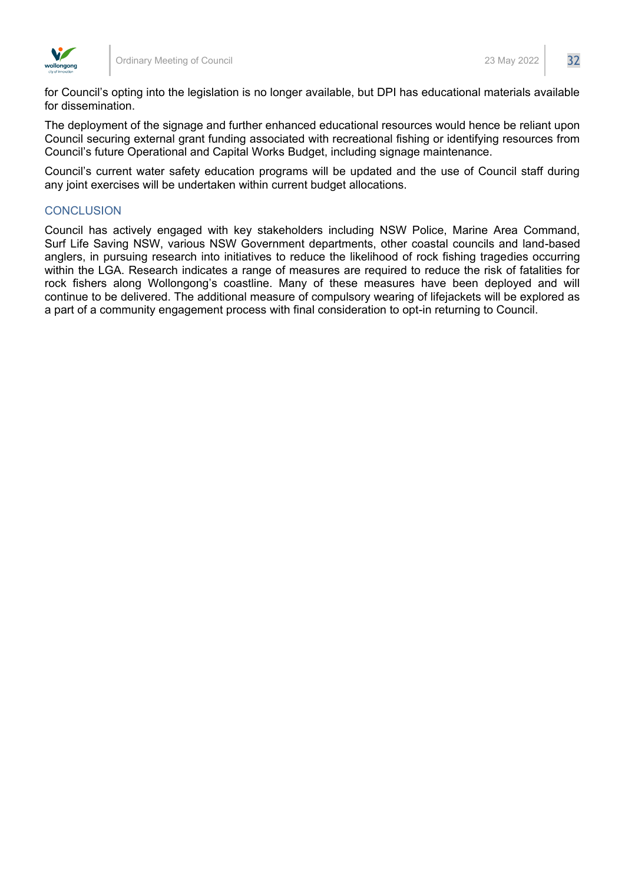

for Council's opting into the legislation is no longer available, but DPI has educational materials available for dissemination.

The deployment of the signage and further enhanced educational resources would hence be reliant upon Council securing external grant funding associated with recreational fishing or identifying resources from Council's future Operational and Capital Works Budget, including signage maintenance.

Council's current water safety education programs will be updated and the use of Council staff during any joint exercises will be undertaken within current budget allocations.

# **CONCLUSION**

Council has actively engaged with key stakeholders including NSW Police, Marine Area Command, Surf Life Saving NSW, various NSW Government departments, other coastal councils and land-based anglers, in pursuing research into initiatives to reduce the likelihood of rock fishing tragedies occurring within the LGA. Research indicates a range of measures are required to reduce the risk of fatalities for rock fishers along Wollongong's coastline. Many of these measures have been deployed and will continue to be delivered. The additional measure of compulsory wearing of lifejackets will be explored as a part of a community engagement process with final consideration to opt-in returning to Council.